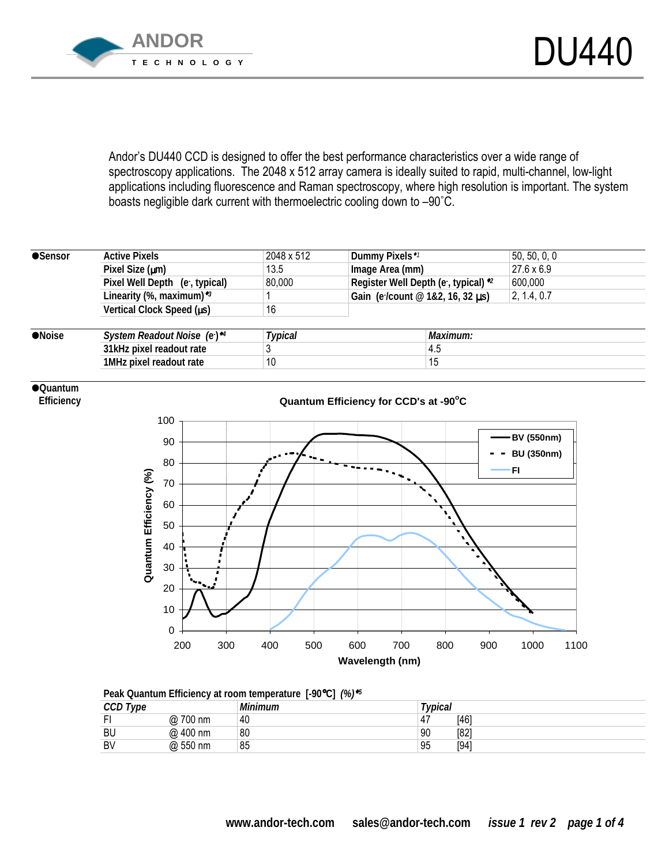

Andor's DU440 CCD is designed to offer the best performance characteristics over a wide range of spectroscopy applications. The 2048 x 512 array camera is ideally suited to rapid, multi-channel, low-light applications including fluorescence and Raman spectroscopy, where high resolution is important. The system boasts negligible dark current with thermoelectric cooling down to -90°C.

| <b>Active Pixels</b>          | 2048 x 512     | Dummy Pixels <sup>*1</sup>           | 50, 50, 0, 0 |  |  |
|-------------------------------|----------------|--------------------------------------|--------------|--|--|
| Pixel Size $(\mu m)$          | 13.5           | Image Area (mm)                      | 27.6 x 6.9   |  |  |
| Pixel Well Depth (e, typical) | 80,000         | Register Well Depth (e , typical) *2 | 600,000      |  |  |
| Linearity (%, maximum) $*3$   |                | Gain (e/count @ 1&2, 16, 32 us)      | 2, 1.4, 0.7  |  |  |
| Vertical Clock Speed (us)     | 16             |                                      |              |  |  |
|                               |                |                                      |              |  |  |
| System Readout Noise (e)*4    | <b>Typical</b> | Maximum:                             |              |  |  |
| 31kHz pixel readout rate      |                | 4.5                                  |              |  |  |
| 1MHz pixel readout rate       | 10             | 15                                   |              |  |  |
|                               |                |                                      |              |  |  |

## !**Quantum**

 **Efficiency** 



|--|

| CCD Type<br>ししレ |             | <b>Minimum</b> | $\tau$ <sub>VDical</sub> |      |
|-----------------|-------------|----------------|--------------------------|------|
|                 | 700 nm<br>@ | 40             | 47                       | [46] |
| <b>BU</b>       | @ 400 nm    | 80             | 90                       | [82] |
| BV              | @ 550 nm    | 85             | 95                       | [94] |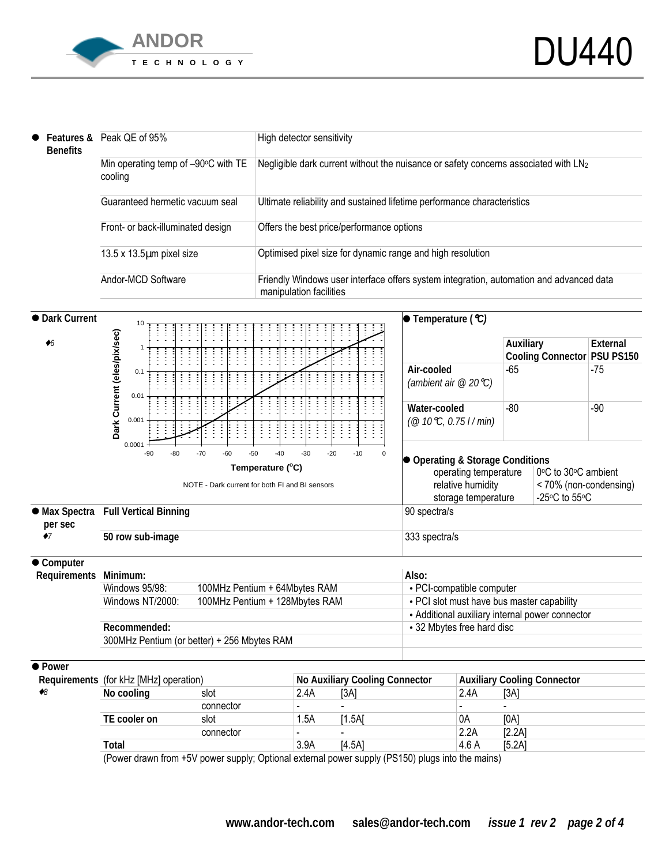

l

|  | $\bullet$ Features &<br><b>Benefits</b> | Peak QE of 95%                                 | High detector sensitivity                                                                                          |  |  |  |
|--|-----------------------------------------|------------------------------------------------|--------------------------------------------------------------------------------------------------------------------|--|--|--|
|  |                                         | Min operating temp of -90°C with TE<br>cooling | Negligible dark current without the nuisance or safety concerns associated with LN2                                |  |  |  |
|  |                                         | Guaranteed hermetic vacuum seal                | Ultimate reliability and sustained lifetime performance characteristics                                            |  |  |  |
|  |                                         | Front- or back-illuminated design              | Offers the best price/performance options                                                                          |  |  |  |
|  |                                         | $13.5 \times 13.5 \mu m$ pixel size            | Optimised pixel size for dynamic range and high resolution                                                         |  |  |  |
|  |                                         | Andor-MCD Software                             | Friendly Windows user interface offers system integration, automation and advanced data<br>manipulation facilities |  |  |  |



|                    | <u>vuinvuui</u> |      |                          |                    |                             |
|--------------------|-----------------|------|--------------------------|--------------------|-----------------------------|
| TE.<br>E cooler on | slot            | 1.5A | 1.5AI                    | 0A                 | [0A]                        |
|                    | connector       |      | $\overline{\phantom{a}}$ | <b>CCC</b><br>4.AR | [2.2A]                      |
| <b>Total</b>       |                 | 3.9A | 14.5A1                   | $\sim$<br>4.V A    | '∆0 ،<br>仄<br>IJ. <i>LI</i> |

(Power drawn from +5V power supply; Optional external power supply (PS150) plugs into the mains)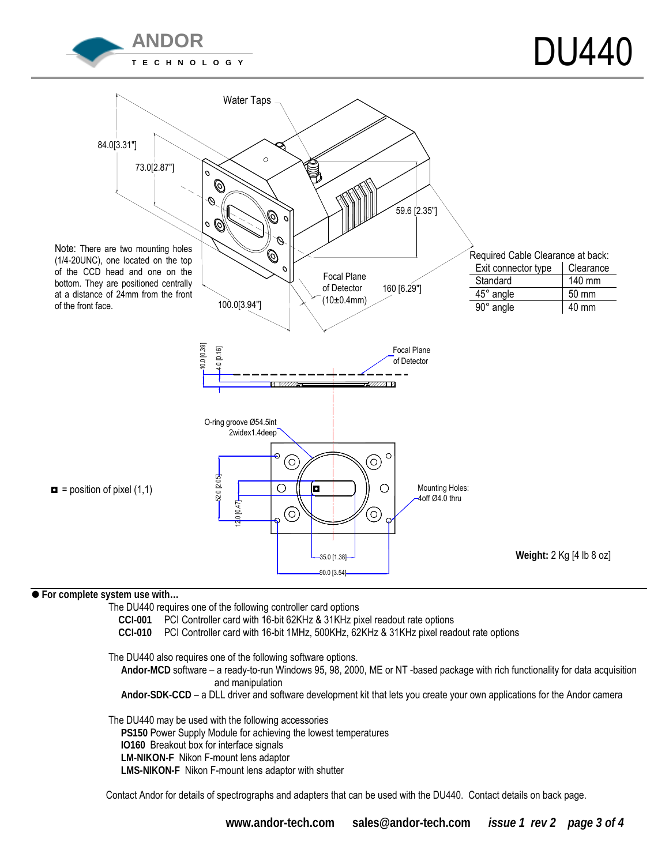



## ! **For complete system use with…**

The DU440 requires one of the following controller card options

**CCI-001** PCI Controller card with 16-bit 62KHz & 31KHz pixel readout rate options

**CCI-010** PCI Controller card with 16-bit 1MHz, 500KHz, 62KHz & 31KHz pixel readout rate options

The DU440 also requires one of the following software options.

Andor-MCD software - a ready-to-run Windows 95, 98, 2000, ME or NT -based package with rich functionality for data acquisition and manipulation

Andor-SDK-CCD – a DLL driver and software development kit that lets you create your own applications for the Andor camera

 The DU440 may be used with the following accessories **PS150** Power Supply Module for achieving the lowest temperatures **IO160** Breakout box for interface signals **LM-NIKON-F** Nikon F-mount lens adaptor **LMS-NIKON-F** Nikon F-mount lens adaptor with shutter

Contact Andor for details of spectrographs and adapters that can be used with the DU440. Contact details on back page.